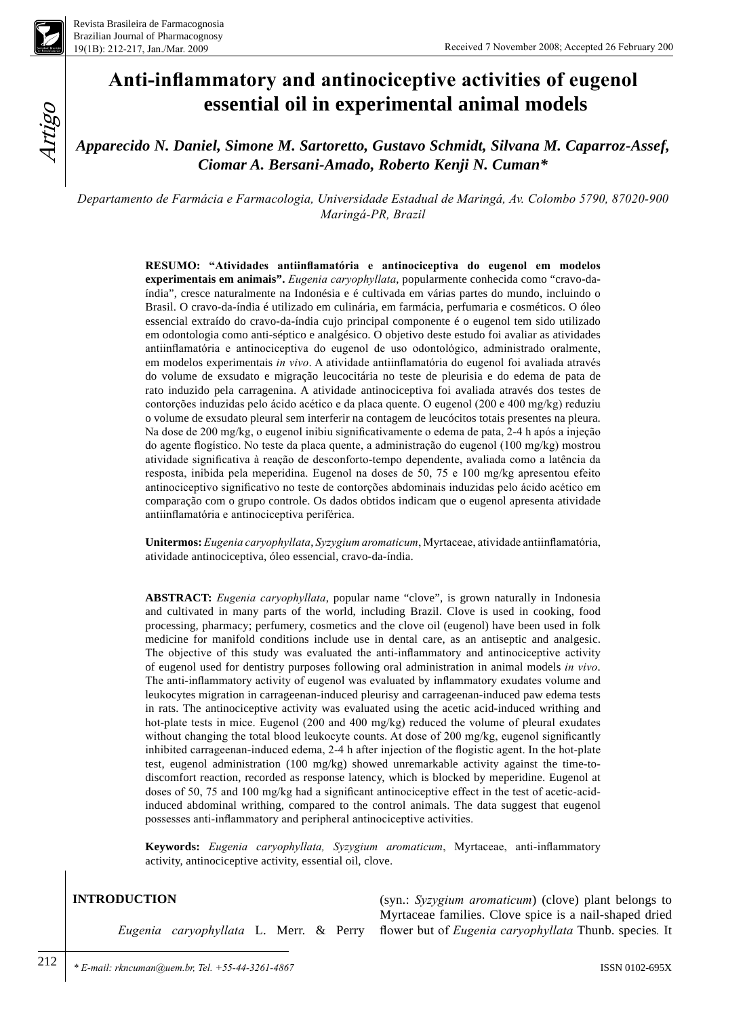

Artigo

# **Anti-inflammatory and antinociceptive activities of eugenol essential oil in experimental animal models**

*Apparecido N. Daniel, Simone M. Sartoretto, Gustavo Schmidt, Silvana M. Caparroz-Assef, Ciomar A. Bersani-Amado, Roberto Kenji N. Cuman\**

*Departamento de Farmácia e Farmacologia, Universidade Estadual de Maringá, Av. Colombo 5790, 87020-900 Maringá-PR, Brazil*

> **RESUMO: "Atividades antiinflamatória e antinociceptiva do eugenol em modelos experimentais em animais".** *Eugenia caryophyllata*, popularmente conhecida como "cravo-daíndia", cresce naturalmente na Indonésia e é cultivada em várias partes do mundo, incluindo o Brasil. O cravo-da-índia é utilizado em culinária, em farmácia, perfumaria e cosméticos. O óleo essencial extraído do cravo-da-índia cujo principal componente é o eugenol tem sido utilizado em odontologia como anti-séptico e analgésico. O objetivo deste estudo foi avaliar as atividades antiinflamatória e antinociceptiva do eugenol de uso odontológico, administrado oralmente, em modelos experimentais *in vivo*. A atividade antiinflamatória do eugenol foi avaliada através do volume de exsudato e migração leucocitária no teste de pleurisia e do edema de pata de rato induzido pela carragenina. A atividade antinociceptiva foi avaliada através dos testes de contorções induzidas pelo ácido acético e da placa quente. O eugenol (200 e 400 mg/kg) reduziu o volume de exsudato pleural sem interferir na contagem de leucócitos totais presentes na pleura. Na dose de 200 mg/kg, o eugenol inibiu significativamente o edema de pata, 2-4 h após a injeção do agente flogístico. No teste da placa quente, a administração do eugenol (100 mg/kg) mostrou atividade significativa à reação de desconforto-tempo dependente, avaliada como a latência da resposta, inibida pela meperidina. Eugenol na doses de 50, 75 e 100 mg/kg apresentou efeito antinociceptivo significativo no teste de contorções abdominais induzidas pelo ácido acético em comparação com o grupo controle. Os dados obtidos indicam que o eugenol apresenta atividade antiinflamatória e antinociceptiva periférica.

> **Unitermos:** *Eugenia caryophyllata*, *Syzygium aromaticum*, Myrtaceae, atividade antiinflamatória, atividade antinociceptiva, óleo essencial, cravo-da-índia.

> **ABSTRACT:** *Eugenia caryophyllata*, popular name "clove", is grown naturally in Indonesia and cultivated in many parts of the world, including Brazil. Clove is used in cooking, food processing, pharmacy; perfumery, cosmetics and the clove oil (eugenol) have been used in folk medicine for manifold conditions include use in dental care, as an antiseptic and analgesic. The objective of this study was evaluated the anti-inflammatory and antinociceptive activity of eugenol used for dentistry purposes following oral administration in animal models *in vivo*. The anti-inflammatory activity of eugenol was evaluated by inflammatory exudates volume and leukocytes migration in carrageenan-induced pleurisy and carrageenan-induced paw edema tests in rats. The antinociceptive activity was evaluated using the acetic acid-induced writhing and hot-plate tests in mice. Eugenol (200 and 400 mg/kg) reduced the volume of pleural exudates without changing the total blood leukocyte counts. At dose of 200 mg/kg, eugenol significantly inhibited carrageenan-induced edema, 2-4 h after injection of the flogistic agent. In the hot-plate test, eugenol administration (100 mg/kg) showed unremarkable activity against the time-todiscomfort reaction, recorded as response latency, which is blocked by meperidine. Eugenol at doses of 50, 75 and 100 mg/kg had a significant antinociceptive effect in the test of acetic-acidinduced abdominal writhing, compared to the control animals. The data suggest that eugenol possesses anti-inflammatory and peripheral antinociceptive activities.

> **Keywords:** *Eugenia caryophyllata, Syzygium aromaticum*, Myrtaceae, anti-inflammatory activity, antinociceptive activity, essential oil, clove.

# **Introduction**

*Eugenia caryophyllata* L. Merr. & Perry

(syn.: *Syzygium aromaticum*) (clove) plant belongs to Myrtaceae families. Clove spice is a nail-shaped dried flower but of *Eugenia caryophyllata* Thunb. species*.* It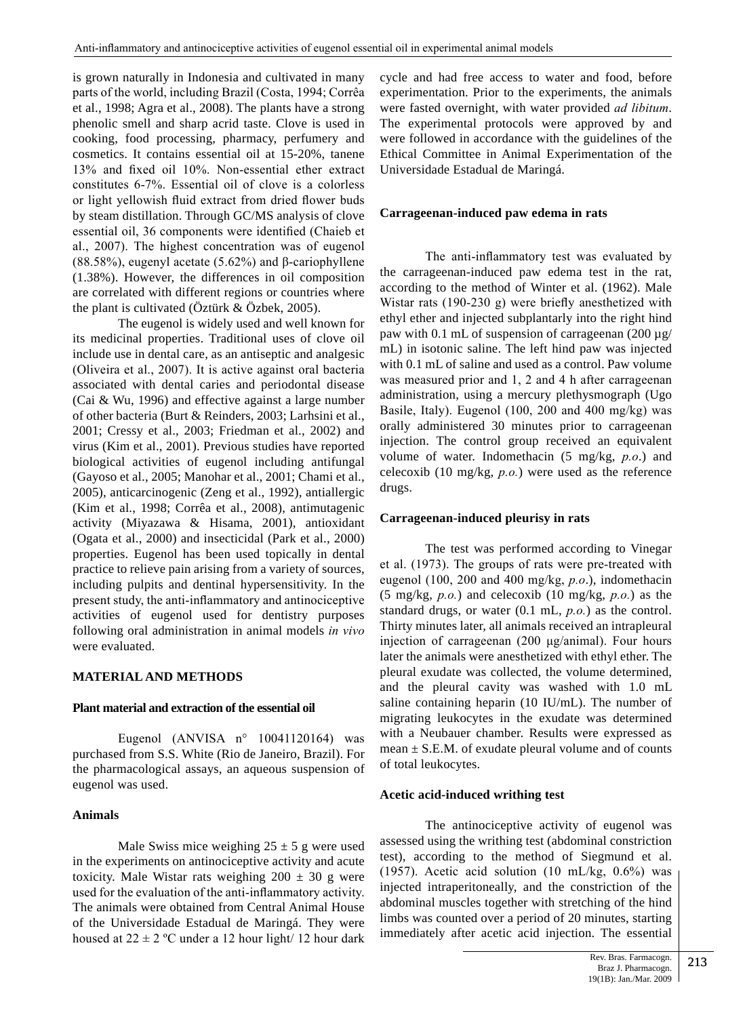is grown naturally in Indonesia and cultivated in many parts of the world, including Brazil (Costa, 1994; Corrêa et al., 1998; Agra et al., 2008). The plants have a strong phenolic smell and sharp acrid taste. Clove is used in cooking, food processing, pharmacy, perfumery and cosmetics. It contains essential oil at 15-20%, tanene 13% and fixed oil 10%. Non-essential ether extract constitutes 6-7%. Essential oil of clove is a colorless or light yellowish fluid extract from dried flower buds by steam distillation. Through GC/MS analysis of clove essential oil, 36 components were identified (Chaieb et al., 2007). The highest concentration was of eugenol (88.58%), eugenyl acetate (5.62%) and β-cariophyllene (1.38%). However, the differences in oil composition are correlated with different regions or countries where the plant is cultivated (Öztürk & Özbek, 2005).

The eugenol is widely used and well known for its medicinal properties. Traditional uses of clove oil include use in dental care, as an antiseptic and analgesic (Oliveira et al., 2007). It is active against oral bacteria associated with dental caries and periodontal disease (Cai & Wu, 1996) and effective against a large number of other bacteria (Burt & Reinders, 2003; Larhsini et al., 2001; Cressy et al., 2003; Friedman et al., 2002) and virus (Kim et al., 2001). Previous studies have reported biological activities of eugenol including antifungal (Gayoso et al., 2005; Manohar et al., 2001; Chami et al., 2005), anticarcinogenic (Zeng et al., 1992), antiallergic (Kim et al., 1998; Corrêa et al., 2008), antimutagenic activity (Miyazawa & Hisama, 2001), antioxidant (Ogata et al., 2000) and insecticidal (Park et al., 2000) properties. Eugenol has been used topically in dental practice to relieve pain arising from a variety of sources, including pulpits and dentinal hypersensitivity. In the present study, the anti-inflammatory and antinociceptive activities of eugenol used for dentistry purposes following oral administration in animal models *in vivo* were evaluated.

# **Material and Methods**

#### **Plant material and extraction of the essential oil**

Eugenol (ANVISA  $n^{\circ}$  10041120164) was purchased from S.S. White (Rio de Janeiro, Brazil). For the pharmacological assays, an aqueous suspension of eugenol was used.

### **Animals**

Male Swiss mice weighing  $25 \pm 5$  g were used in the experiments on antinociceptive activity and acute toxicity. Male Wistar rats weighing  $200 \pm 30$  g were used for the evaluation of the anti-inflammatory activity. The animals were obtained from Central Animal House of the Universidade Estadual de Maringá. They were housed at  $22 \pm 2$  °C under a 12 hour light/ 12 hour dark cycle and had free access to water and food, before experimentation. Prior to the experiments, the animals were fasted overnight, with water provided *ad libitum*. The experimental protocols were approved by and were followed in accordance with the guidelines of the Ethical Committee in Animal Experimentation of the Universidade Estadual de Maringá.

### **Carrageenan-induced paw edema in rats**

The anti-inflammatory test was evaluated by the carrageenan-induced paw edema test in the rat, according to the method of Winter et al. (1962). Male Wistar rats (190-230 g) were briefly anesthetized with ethyl ether and injected subplantarly into the right hind paw with 0.1 mL of suspension of carrageenan  $(200 \mu g)$ mL) in isotonic saline. The left hind paw was injected with 0.1 mL of saline and used as a control. Paw volume was measured prior and 1, 2 and 4 h after carrageenan administration, using a mercury plethysmograph (Ugo Basile, Italy). Eugenol (100, 200 and 400 mg/kg) was orally administered 30 minutes prior to carrageenan injection. The control group received an equivalent volume of water. Indomethacin (5 mg/kg, *p.o*.) and celecoxib (10 mg/kg, *p.o.*) were used as the reference drugs.

#### **Carrageenan-induced pleurisy in rats**

The test was performed according to Vinegar et al. (1973). The groups of rats were pre-treated with eugenol (100, 200 and 400 mg/kg, *p.o*.), indomethacin (5 mg/kg, *p.o.*) and celecoxib (10 mg/kg, *p.o.*) as the standard drugs, or water (0.1 mL, *p.o.*) as the control. Thirty minutes later, all animals received an intrapleural injection of carrageenan (200 μg/animal). Four hours later the animals were anesthetized with ethyl ether. The pleural exudate was collected, the volume determined, and the pleural cavity was washed with 1.0 mL saline containing heparin (10 IU/mL). The number of migrating leukocytes in the exudate was determined with a Neubauer chamber. Results were expressed as mean  $\pm$  S.E.M. of exudate pleural volume and of counts of total leukocytes.

# **Acetic acid-induced writhing test**

The antinociceptive activity of eugenol was assessed using the writhing test (abdominal constriction test), according to the method of Siegmund et al. (1957). Acetic acid solution (10 mL/kg,  $0.6\%$ ) was injected intraperitoneally, and the constriction of the abdominal muscles together with stretching of the hind limbs was counted over a period of 20 minutes, starting immediately after acetic acid injection. The essential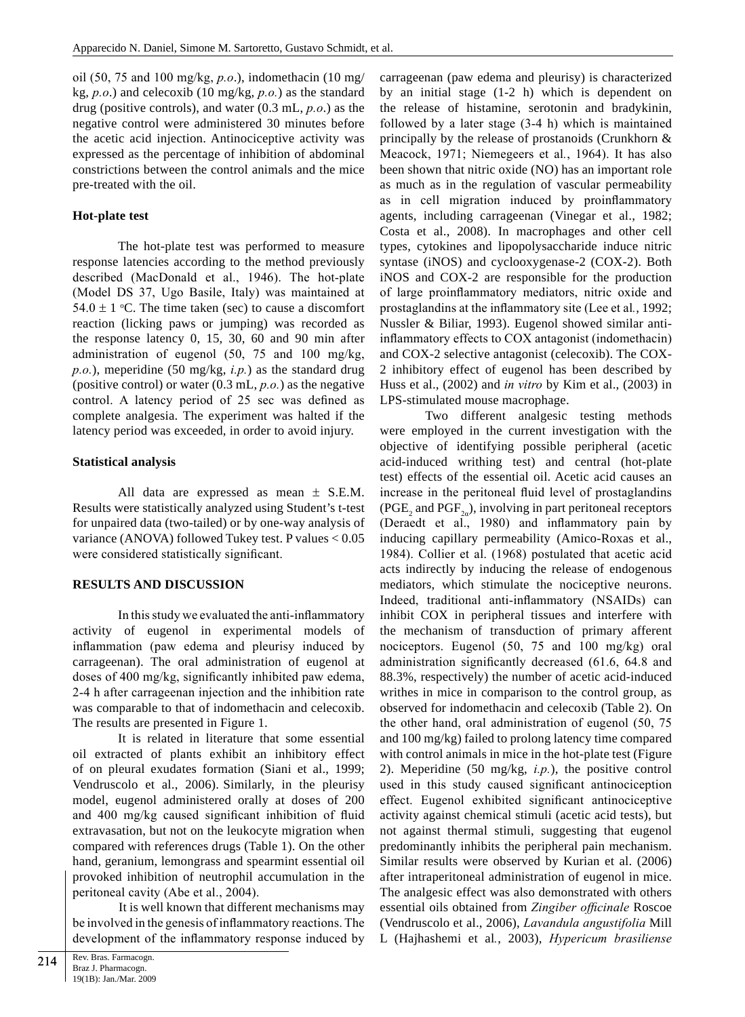oil (50, 75 and 100 mg/kg, *p.o*.), indomethacin (10 mg/ kg, *p.o*.) and celecoxib (10 mg/kg, *p.o.*) as the standard drug (positive controls), and water (0.3 mL, *p.o*.) as the negative control were administered 30 minutes before the acetic acid injection. Antinociceptive activity was expressed as the percentage of inhibition of abdominal constrictions between the control animals and the mice pre-treated with the oil.

## **Hot-plate test**

The hot-plate test was performed to measure response latencies according to the method previously described (MacDonald et al., 1946). The hot-plate (Model DS 37, Ugo Basile, Italy) was maintained at 54.0  $\pm$  1 °C. The time taken (sec) to cause a discomfort reaction (licking paws or jumping) was recorded as the response latency 0, 15, 30, 60 and 90 min after administration of eugenol (50, 75 and 100 mg/kg, *p.o.*), meperidine (50 mg/kg, *i.p.*) as the standard drug (positive control) or water (0.3 mL, *p.o.*) as the negative control. A latency period of 25 sec was defined as complete analgesia. The experiment was halted if the latency period was exceeded, in order to avoid injury.

## **Statistical analysis**

All data are expressed as mean ± S.E.M. Results were statistically analyzed using Student's t-test for unpaired data (two-tailed) or by one-way analysis of variance (ANOVA) followed Tukey test. P values < 0.05 were considered statistically significant.

# **RESULTS AND DISCUSSION**

In this study we evaluated the anti-inflammatory activity of eugenol in experimental models of inflammation (paw edema and pleurisy induced by carrageenan). The oral administration of eugenol at doses of 400 mg/kg, significantly inhibited paw edema, 2-4 h after carrageenan injection and the inhibition rate was comparable to that of indomethacin and celecoxib. The results are presented in Figure 1.

It is related in literature that some essential oil extracted of plants exhibit an inhibitory effect of on pleural exudates formation (Siani et al., 1999; Vendruscolo et al., 2006). Similarly, in the pleurisy model, eugenol administered orally at doses of 200 and 400 mg/kg caused significant inhibition of fluid extravasation, but not on the leukocyte migration when compared with references drugs (Table 1). On the other hand, geranium, lemongrass and spearmint essential oil provoked inhibition of neutrophil accumulation in the peritoneal cavity (Abe et al., 2004).

It is well known that different mechanisms may be involved in the genesis of inflammatory reactions. The development of the inflammatory response induced by carrageenan (paw edema and pleurisy) is characterized by an initial stage (1-2 h) which is dependent on the release of histamine, serotonin and bradykinin, followed by a later stage (3-4 h) which is maintained principally by the release of prostanoids (Crunkhorn & Meacock, 1971; Niemegeers et al*.*, 1964). It has also been shown that nitric oxide (NO) has an important role as much as in the regulation of vascular permeability as in cell migration induced by proinflammatory agents, including carrageenan (Vinegar et al., 1982; Costa et al., 2008). In macrophages and other cell types, cytokines and lipopolysaccharide induce nitric syntase (iNOS) and cyclooxygenase-2 (COX-2). Both iNOS and COX-2 are responsible for the production of large proinflammatory mediators, nitric oxide and prostaglandins at the inflammatory site (Lee et al*.*, 1992; Nussler & Biliar, 1993). Eugenol showed similar antiinflammatory effects to COX antagonist (indomethacin) and COX-2 selective antagonist (celecoxib). The COX-2 inhibitory effect of eugenol has been described by Huss et al., (2002) and *in vitro* by Kim et al., (2003) in LPS-stimulated mouse macrophage.

Two different analgesic testing methods were employed in the current investigation with the objective of identifying possible peripheral (acetic acid-induced writhing test) and central (hot-plate test) effects of the essential oil. Acetic acid causes an increase in the peritoneal fluid level of prostaglandins  $(PGE<sub>2</sub>$  and  $PGF<sub>2\alpha</sub>$ ), involving in part peritoneal receptors (Deraedt et al., 1980) and inflammatory pain by inducing capillary permeability (Amico-Roxas et al., 1984). Collier et al. (1968) postulated that acetic acid acts indirectly by inducing the release of endogenous mediators, which stimulate the nociceptive neurons. Indeed, traditional anti-inflammatory (NSAIDs) can inhibit COX in peripheral tissues and interfere with the mechanism of transduction of primary afferent nociceptors. Eugenol (50, 75 and 100 mg/kg) oral administration significantly decreased (61.6, 64.8 and 88.3%, respectively) the number of acetic acid-induced writhes in mice in comparison to the control group, as observed for indomethacin and celecoxib (Table 2). On the other hand, oral administration of eugenol (50, 75 and 100 mg/kg) failed to prolong latency time compared with control animals in mice in the hot-plate test (Figure 2). Meperidine (50 mg/kg, *i.p.*), the positive control used in this study caused significant antinociception effect. Eugenol exhibited significant antinociceptive activity against chemical stimuli (acetic acid tests), but not against thermal stimuli, suggesting that eugenol predominantly inhibits the peripheral pain mechanism. Similar results were observed by Kurian et al. (2006) after intraperitoneal administration of eugenol in mice. The analgesic effect was also demonstrated with others essential oils obtained from *Zingiber officinale* Roscoe (Vendruscolo et al., 2006), *Lavandula angustifolia* Mill L (Hajhashemi et al*.*, 2003), *Hypericum brasiliense*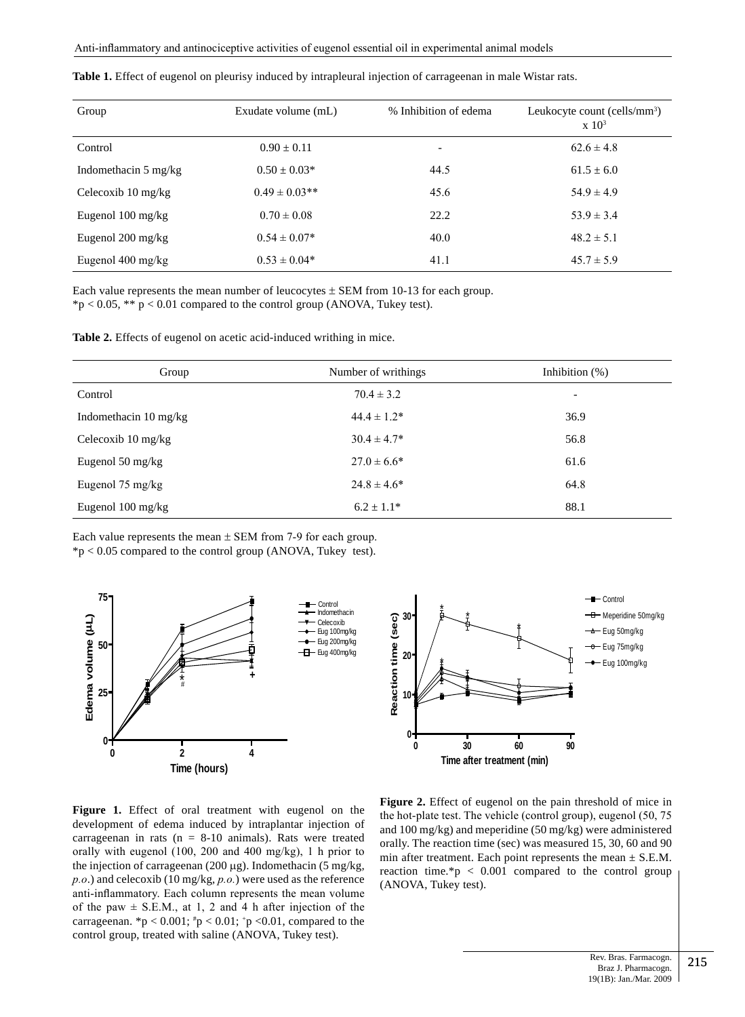| Group                          | Exudate volume (mL) | % Inhibition of edema    | Leukocyte count (cells/ $mm3$ )<br>$\rm x~10^3$ |
|--------------------------------|---------------------|--------------------------|-------------------------------------------------|
| Control                        | $0.90 + 0.11$       | $\overline{\phantom{0}}$ | $62.6 \pm 4.8$                                  |
| Indomethacin $5 \text{ mg/kg}$ | $0.50 + 0.03*$      | 44.5                     | $61.5 + 6.0$                                    |
| Celecoxib $10 \text{ mg/kg}$   | $0.49 \pm 0.03$ **  | 45.6                     | $54.9 \pm 4.9$                                  |
| Eugenol $100 \text{ mg/kg}$    | $0.70 \pm 0.08$     | 22.2                     | $53.9 \pm 3.4$                                  |
| Eugenol $200 \text{ mg/kg}$    | $0.54 \pm 0.07*$    | 40.0                     | $48.2 \pm 5.1$                                  |
| Eugenol 400 mg/kg              | $0.53 \pm 0.04*$    | 41.1                     | $45.7 \pm 5.9$                                  |

|  |  |  |  | <b>Table 1.</b> Effect of eugenol on pleurisy induced by intrapleural injection of carrageenan in male Wistar rats. |  |
|--|--|--|--|---------------------------------------------------------------------------------------------------------------------|--|
|  |  |  |  |                                                                                                                     |  |

Each value represents the mean number of leucocytes  $\pm$  SEM from 10-13 for each group.  $*p < 0.05$ ,  $** p < 0.01$  compared to the control group (ANOVA, Tukey test).

**Table 2.** Effects of eugenol on acetic acid-induced writhing in mice.

| Group                        | Number of writhings | Inhibition $(\%)$        |  |
|------------------------------|---------------------|--------------------------|--|
| Control                      | $70.4 \pm 3.2$      | $\overline{\phantom{a}}$ |  |
| Indomethacin 10 mg/kg        | $44.4 \pm 1.2^*$    | 36.9                     |  |
| Celecoxib $10 \text{ mg/kg}$ | $30.4 \pm 4.7*$     | 56.8                     |  |
| Eugenol 50 mg/kg             | $27.0 \pm 6.6^*$    | 61.6                     |  |
| Eugenol 75 mg/kg             | $24.8 \pm 4.6^*$    | 64.8                     |  |
| Eugenol $100 \text{ mg/kg}$  | $6.2 + 1.1*$        | 88.1                     |  |

Each value represents the mean  $\pm$  SEM from 7-9 for each group.

\*p < 0.05 compared to the control group (ANOVA, Tukey test).



**Figure 1.** Effect of oral treatment with eugenol on the development of edema induced by intraplantar injection of carrageenan in rats ( $n = 8-10$  animals). Rats were treated orally with eugenol (100, 200 and 400 mg/kg), 1 h prior to the injection of carrageenan (200  $\mu$ g). Indomethacin (5 mg/kg, *p.o*.) and celecoxib (10 mg/kg, *p.o.*) were used as the reference anti-inflammatory. Each column represents the mean volume of the paw  $\pm$  S.E.M., at 1, 2 and 4 h after injection of the carrageenan.  ${}^{*}\text{p} < 0.001$ ;  ${}^{*}\text{p} < 0.01$ ;  ${}^{*}\text{p} < 0.01$ , compared to the control group, treated with saline (ANOVA, Tukey test).

**Figure 2.** Effect of eugenol on the pain threshold of mice in the hot-plate test. The vehicle (control group), eugenol (50, 75 and 100 mg/kg) and meperidine (50 mg/kg) were administered orally. The reaction time (sec) was measured 15, 30, 60 and 90 min after treatment. Each point represents the mean  $\pm$  S.E.M. reaction time.\*p  $\lt$  0.001 compared to the control group (ANOVA, Tukey test).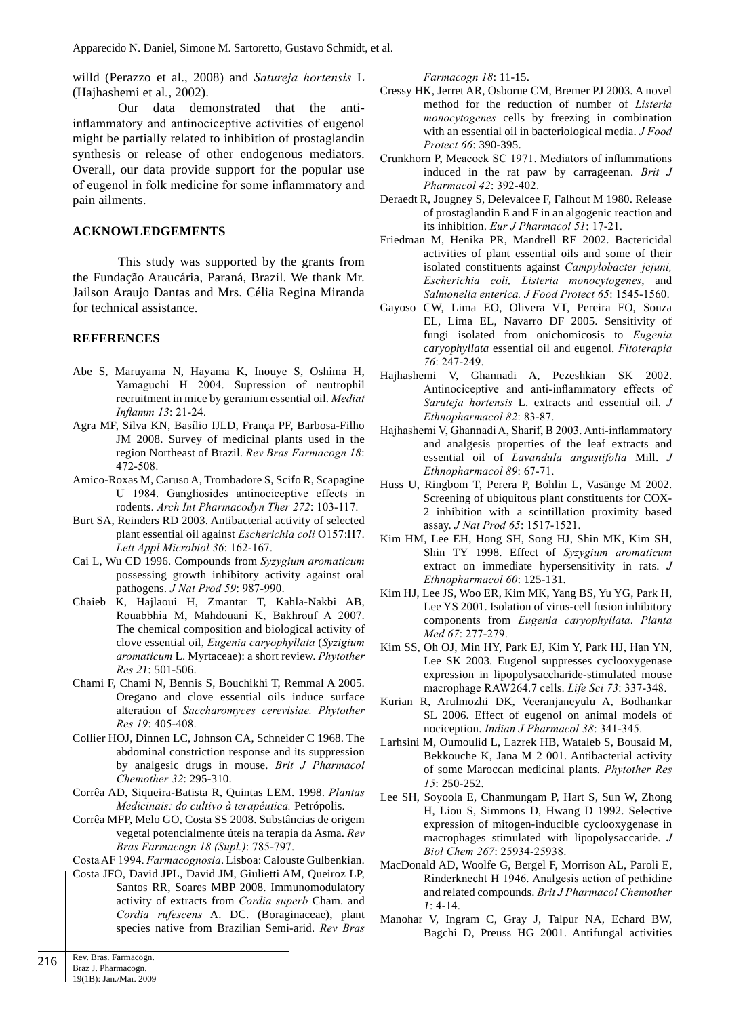willd (Perazzo et al., 2008) and *Satureja hortensis* L (Hajhashemi et al*.*, 2002).

Our data demonstrated that the antiinflammatory and antinociceptive activities of eugenol might be partially related to inhibition of prostaglandin synthesis or release of other endogenous mediators. Overall, our data provide support for the popular use of eugenol in folk medicine for some inflammatory and pain ailments.

## **ACKNOWLEDGEMENTS**

This study was supported by the grants from the Fundação Araucária, Paraná, Brazil. We thank Mr. Jailson Araujo Dantas and Mrs. Célia Regina Miranda for technical assistance.

#### **REFERENCES**

- Abe S, Maruyama N, Hayama K, Inouye S, Oshima H, Yamaguchi H 2004. Supression of neutrophil recruitment in mice by geranium essential oil. *Mediat Inflamm 13*: 21-24.
- Agra MF, Silva KN, Basílio IJLD, França PF, Barbosa-Filho JM 2008. Survey of medicinal plants used in the region Northeast of Brazil. *Rev Bras Farmacogn 18*: 472-508.
- Amico-Roxas M, Caruso A, Trombadore S, Scifo R, Scapagine U 1984. Gangliosides antinociceptive effects in rodents. *Arch Int Pharmacodyn Ther 272*: 103-117.
- Burt SA, Reinders RD 2003. Antibacterial activity of selected plant essential oil against *Escherichia coli* O157:H7. *Lett Appl Microbiol 36*: 162-167.
- Cai L, Wu CD 1996. Compounds from *Syzygium aromaticum* possessing growth inhibitory activity against oral pathogens. *J Nat Prod 59*: 987-990.
- Chaieb K, Hajlaoui H, Zmantar T, Kahla-Nakbi AB, Rouabbhia M, Mahdouani K, Bakhrouf A 2007. The chemical composition and biological activity of clove essential oil, *Eugenia caryophyllata* (*Syzigium aromaticum* L. Myrtaceae): a short review. *Phytother Res 21*: 501-506.
- Chami F, Chami N, Bennis S, Bouchikhi T, Remmal A 2005. Oregano and clove essential oils induce surface alteration of *Saccharomyces cerevisiae. Phytother Res 19*: 405-408.
- Collier HOJ, Dinnen LC, Johnson CA, Schneider C 1968. The abdominal constriction response and its suppression by analgesic drugs in mouse. *Brit J Pharmacol Chemother 32*: 295-310.
- Corrêa AD, Siqueira-Batista R, Quintas LEM. 1998. *Plantas Medicinais: do cultivo à terapêutica.* Petrópolis.
- Corrêa MFP, Melo GO, Costa SS 2008. Substâncias de origem vegetal potencialmente úteis na terapia da Asma. *Rev Bras Farmacogn 18 (Supl.)*: 785-797.

Costa AF 1994. *Farmacognosia*. Lisboa: Calouste Gulbenkian.

Costa JFO, David JPL, David JM, Giulietti AM, Queiroz LP, Santos RR, Soares MBP 2008. Immunomodulatory activity of extracts from *Cordia superb* Cham. and *Cordia rufescens* A. DC. (Boraginaceae), plant species native from Brazilian Semi-arid. *Rev Bras* *Farmacogn 18*: 11-15.

- Cressy HK, Jerret AR, Osborne CM, Bremer PJ 2003. A novel method for the reduction of number of *Listeria monocytogenes* cells by freezing in combination with an essential oil in bacteriological media. *J Food Protect 66*: 390-395.
- Crunkhorn P, Meacock SC 1971. Mediators of inflammations induced in the rat paw by carrageenan. *Brit J Pharmacol 42*: 392-402.
- Deraedt R, Jougney S, Delevalcee F, Falhout M 1980. Release of prostaglandin E and F in an algogenic reaction and its inhibition. *Eur J Pharmacol 51*: 17-21.
- Friedman M, Henika PR, Mandrell RE 2002. Bactericidal activities of plant essential oils and some of their isolated constituents against *Campylobacter jejuni, Escherichia coli, Listeria monocytogenes*, and *Salmonella enterica. J Food Protect 65*: 1545-1560.
- Gayoso CW, Lima EO, Olivera VT, Pereira FO, Souza EL, Lima EL, Navarro DF 2005. Sensitivity of fungi isolated from onichomicosis to *Eugenia caryophyllata* essential oil and eugenol. *Fitoterapia 76*: 247-249.
- Hajhashemi V, Ghannadi A, Pezeshkian SK 2002. Antinociceptive and anti-inflammatory effects of *Saruteja hortensis* L. extracts and essential oil. *J Ethnopharmacol 82*: 83-87.
- Hajhashemi V, Ghannadi A, Sharif, B 2003. Anti-inflammatory and analgesis properties of the leaf extracts and essential oil of *Lavandula angustifolia* Mill. *J Ethnopharmacol 89*: 67-71.
- Huss U, Ringbom T, Perera P, Bohlin L, Vasänge M 2002. Screening of ubiquitous plant constituents for COX-2 inhibition with a scintillation proximity based assay. *J Nat Prod 65*: 1517-1521.
- Kim HM, Lee EH, Hong SH, Song HJ, Shin MK, Kim SH, Shin TY 1998. Effect of *Syzygium aromaticum* extract on immediate hypersensitivity in rats. *J Ethnopharmacol 60*: 125-131.
- Kim HJ, Lee JS, Woo ER, Kim MK, Yang BS, Yu YG, Park H, Lee YS 2001. Isolation of virus-cell fusion inhibitory components from *Eugenia caryophyllata*. *Planta Med 67*: 277-279.
- Kim SS, Oh OJ, Min HY, Park EJ, Kim Y, Park HJ, Han YN, Lee SK 2003. Eugenol suppresses cyclooxygenase expression in lipopolysaccharide-stimulated mouse macrophage RAW264.7 cells. *Life Sci 73*: 337-348.
- Kurian R, Arulmozhi DK, Veeranjaneyulu A, Bodhankar SL 2006. Effect of eugenol on animal models of nociception. *Indian J Pharmacol 38*: 341-345.
- Larhsini M, Oumoulid L, Lazrek HB, Wataleb S, Bousaid M, Bekkouche K, Jana M 2 001. Antibacterial activity of some Maroccan medicinal plants. *Phytother Res 15*: 250-252.
- Lee SH, Soyoola E, Chanmungam P, Hart S, Sun W, Zhong H, Liou S, Simmons D, Hwang D 1992. Selective expression of mitogen-inducible cyclooxygenase in macrophages stimulated with lipopolysaccaride. *J Biol Chem 267*: 25934-25938.
- MacDonald AD, Woolfe G, Bergel F, Morrison AL, Paroli E, Rinderknecht H 1946. Analgesis action of pethidine and related compounds. *Brit J Pharmacol Chemother 1*: 4-14.
- Manohar V, Ingram C, Gray J, Talpur NA, Echard BW, Bagchi D, Preuss HG 2001. Antifungal activities